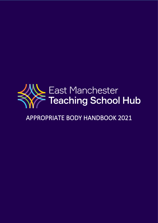

# APPROPRIATE BODY HANDBOOK 2021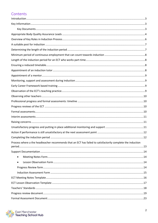# Contents

| Process where a the headteacher recommends that an ECT has failed to satisfactorily complete the induction |  |
|------------------------------------------------------------------------------------------------------------|--|
|                                                                                                            |  |
| $\bullet$                                                                                                  |  |
| $\bullet$                                                                                                  |  |
|                                                                                                            |  |
|                                                                                                            |  |
|                                                                                                            |  |
|                                                                                                            |  |
|                                                                                                            |  |
|                                                                                                            |  |
|                                                                                                            |  |
|                                                                                                            |  |

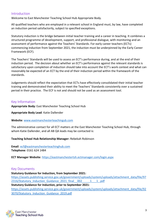## <span id="page-2-0"></span>Introduction

Welcome to East Manchester Teaching School Hub Appropriate Body.

All qualified teachers who are employed in a relevant school in England must, by law, have completed an induction period satisfactorily, subject to specified exceptions.

Statutory induction is the bridge between initial teacher training and a career in teaching. It combines a structured programme of development, support, and professional dialogue, with monitoring and an assessment of performance against the Teachers' Standards. For early career teachers (ECTs) commencing induction from September 2021, the induction must be underpinned by the Early Career Framework (ECF).

The Teachers' Standards will be used to assess an ECT's performance during, and at the end of their induction period. The decision about whether an ECT's performance against the relevant standards is satisfactory upon completion of induction should take into account the ECT's work context and what can reasonably be expected of an ECT by the end of their induction period within the framework of the standards.

Judgements should reflect the expectation that ECTs have effectively consolidated their initial teacher training and demonstrated their ability to meet the Teachers' Standards consistently over a sustained period in their practice. The ECF is not and should not be used as an assessment tool.

## <span id="page-2-1"></span>Key Information

**Appropriate Body:** East Manchester Teaching School Hub

**Appropriate Body Lead**: Katie Dallender

**Website**: [www.eastmanchesterteachingub.com](http://www.eastmanchesterteachingub.com/)

The administrative contact for all ECT matters at the East Manchester Teaching School Hub, through whom Katie Dallender, and all AB QA leads may be contacted is:

**Teaching School Hub Relationship Manager:** Rebekah Robinson

**Email**: [ecf@e](mailto:ecf@)astmanchesterteachinghub.com **Telephone**: 0161 624 1484

**ECT Manager Website**:<https://eastmanchestertsh.ectmanager.com/login.aspx>

## <span id="page-2-2"></span>Key Documents

**Statutory Guidance for Induction, from September 2021:** 

[https://assets.publishing.service.gov.uk/government/uploads/system/uploads/attachment\\_data/file/97](https://assets.publishing.service.gov.uk/government/uploads/system/uploads/attachment_data/file/972316/Statutory_Induction_Guidance_2021_final__002_____1___1_.pdf) 2316/Statutory Induction Guidance 2021 final 002 1 1 .pdf

**Statutory Guidance for Induction, prior to September 2021:** 

[https://assets.publishing.service.gov.uk/government/uploads/system/uploads/attachment\\_data/file/92](https://assets.publishing.service.gov.uk/government/uploads/system/uploads/attachment_data/file/923070/Statutory_Induction_Guidance_2019.pdf) [3070/Statutory\\_Induction\\_Guidance\\_2019.pdf](https://assets.publishing.service.gov.uk/government/uploads/system/uploads/attachment_data/file/923070/Statutory_Induction_Guidance_2019.pdf)

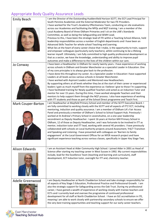# <span id="page-3-0"></span>Appropriate Body Quality Assurance Leads

| <b>Emily Beach</b>        | I am the Director of the Outstanding Huddersfield Horizon SCITT, the ECF Lead Principal for<br>South Pennine Academies and the External Moderator for two ITE Providers.<br>I have worked for the Trust's Academy Effectiveness Team, conducting on site evaluations<br>across our Academies and facilitating the NPQs and NQT training. I am a member of the<br>Local Academy Board of three Oldham Primaries and I sit on the LAB's Standards<br>Committee, as-well as being the Safeguarding and SEMH Lead.<br>Previous to this, I have been the strategic lead of ITE within a Teaching School Alliance, held<br>leadership responsibilities across a number of English departments and I have been an<br>Advanced Skills Teacher for whole school Teaching and Learning.<br>What lies at the heart of every career choice that I make, is the opportunity to train, support<br>and empower colleagues (particularly early teachers), whilst continuing to be a lifelong<br>learner myself. Ultimately, I am fully committed to high quality professional development so<br>that as a sector, we have the knowledge, understanding and ability to improve pupil<br>outcomes and make a difference to the lives of the children within our care. |
|---------------------------|-----------------------------------------------------------------------------------------------------------------------------------------------------------------------------------------------------------------------------------------------------------------------------------------------------------------------------------------------------------------------------------------------------------------------------------------------------------------------------------------------------------------------------------------------------------------------------------------------------------------------------------------------------------------------------------------------------------------------------------------------------------------------------------------------------------------------------------------------------------------------------------------------------------------------------------------------------------------------------------------------------------------------------------------------------------------------------------------------------------------------------------------------------------------------------------------------------------------------------------------------------|
| Jo Conway                 | I have been a Headteacher in Oldham for nearly twenty years. I have experience of working<br>across schools in Oldham and Greater Manchester as a specialist Leader in Education. One<br>of my core principles is to always give back to the profession.<br>I have done this throughout my career. As a Specialist Leader in Education I have supported<br>Leaders at all levels across various schools in Greater Manchester.<br>I have worked with Aspirant Leaders and Mentored new Headteachers.<br>By supporting others at all levels whether they be at the start of their career or experienced<br>leaders I gain as much myself from the experience as I believe I give to those I'm supporting.<br>I have facilitated training for Newly qualified Teachers and acted as an Induction Tutor and<br>mentor for over 15 years. During this time, I have worked alongside Teachers and their<br>mentors to help support them through the NQT process. I also have experience of working<br>with ITT students and those as part of the School Direct programme and Teach First.                                                                                                                                                                |
| <b>Mark Couper-Barton</b> | I am Headteacher at Mayfield Primary School and member of the SCITT Executive Board. I<br>am fully committed to working closely with the SCITT and all aspects of ITT/ ECT, including<br>mentoring, induction and quality assurance. I am a member of Oldham LA's Fair Access<br>Panel and previously a member of Oldham's School to School Support Hub. Previously I<br>worked at St Andrew's Primary School in Levenshulme, on a one-year leadership<br>secondment as Deputy Headteacher. I spent 16 years at Horton Mill Primary School in<br>Oldham, 12 of those as Deputy Headteacher, and I was fortunate to be involved in ITT as<br>mentor, induction tutor and ITT lead, working with several HE providers. I have previously<br>collaborated with schools on Local Authority projects around Assessment, Yr6/7 Transition<br>and Speaking and Listening. I have presented with colleagues on 'Barriers to family<br>engagement' at the Local Government Offices for an NFER research project and have<br>significant experience teaching across various classes, specifically in Upper Key Stage Two.                                                                                                                                     |
| <b>Alison Edwards</b>     | I am an Assistant Head at Alder Community High School. I joined Alder in 2001 as Head of<br>Science after starting my teaching career in West Sussex in 1992. My current responsibilities<br>include, lead for the Excellence Team (teaching and learning and curriculum), staff<br>development, ECT Induction tutor, oversight for ITT and, chemistry teacher.                                                                                                                                                                                                                                                                                                                                                                                                                                                                                                                                                                                                                                                                                                                                                                                                                                                                                     |
| Adelle Greenwood          | I am Deputy Headteacher at North Chadderton School and take strategic responsibility for<br>all aspects of Key Stage 5 Education, Professional Practice and Professional Growth. I am<br>also the strategic support for Safeguarding across the Oak Trust. During my professional<br>career, I have gained a wealth of experience of working closely with trainee teachers and<br>ECTs and I currently lead and oversee the programme of continued professional<br>development for all staff at North Chadderton School. I have an SLE accreditation in ITE,<br>meaning I am able to work closely with partnership secondary schools to ensure we offer<br>the very best training opportunities and teaching support for our early career teachers.                                                                                                                                                                                                                                                                                                                                                                                                                                                                                                 |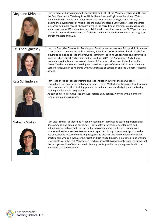| Meghann Kirkham   | I am Director of Curriculum and Pedagogy (ITE and ECF) at the Manchester Nexus SCITT and<br>the East Manchester Teaching School Hub. I have been an English teacher since 2008 and<br>been involved in middle and senior leadership from Director of English and Literacy to<br>leading the development of middle leaders. I have mentored Early Career Teachers across<br>my career and more recently been involved in the recruitment, training, quality assurance<br>and assessment of ITE trainee teachers. Additionally, I work across all the SCITT partnership<br>schools in mentor development and facilitate the Early Career Framework to cluster groups<br>of both mentors and ECTs.                                                                                     |
|-------------------|-------------------------------------------------------------------------------------------------------------------------------------------------------------------------------------------------------------------------------------------------------------------------------------------------------------------------------------------------------------------------------------------------------------------------------------------------------------------------------------------------------------------------------------------------------------------------------------------------------------------------------------------------------------------------------------------------------------------------------------------------------------------------------------|
| Liz O'Shaugnessey | I am the Executive Director for Training and Development across New Bridge Multi Academy<br>Trust Oldham. I previously taught in Primary Schools across Trafford Local Authority before<br>moving to Tameside to lead the everyone learning@ Teaching School Alliance. I continue to<br>lead the School Direct Partnership and up until July 2021, the Appropriate Body. I have<br>worked alongside Leaders across all phases of Education. More recently facilitating Early<br>Career Teacher and Mentor development sessions as part of the Early Roll out of the Early<br>Career Framework in partnership with UCL Institute of Education and the Oldham Research<br>School.                                                                                                     |
| Katz Schlindwein  | I am Head of Altius Teacher Training and lead Induction Tutor at the Laurus Trust.<br>Throughout my career as a maths teacher and Head of Maths I have been privileged to work<br>with teachers during their training year and in their early career, designing and delivering<br>training and induction programmes.<br>As part of my role at Altius I led the Appropriate Body service, working with a number of<br>schools on quality assurance.                                                                                                                                                                                                                                                                                                                                  |
| Natasha Stokes    | I am Vice Principal at Moor End Academy, leading on learning and teaching; professional<br>development; and data and outcomes. High-quality professional development and<br>induction is something that I am incredibly passionate about, and I have worked with<br>trainee and early career teachers in various capacities. In my current role, I promote the<br>use of academic research to inform pedagogy and practice and aim to develop reflective<br>practitioners who can evaluate their craft and use this to flourish. I'm excited to be working<br>strategically with the East Manchester Teaching School Hub Appropriate Body, ensuring that<br>the next generation of teachers are fully equipped to provide our young people with the<br>education that they deserve. |

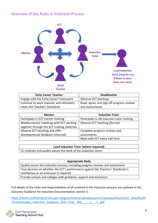# <span id="page-5-0"></span>Overview of Key Roles in Induction Process



| <b>Early Career Teacher</b>              | <b>Headteacher</b>                         |
|------------------------------------------|--------------------------------------------|
| Engage with the Early Career Framework   | Observe ECT teaching                       |
| Continue to work towards, and ultimately | Read, agree, and sign off progress reviews |
| meet, the Teachers' Standards            | and assessments                            |

| <b>Mentor</b>                               | <b>Induction Tutor</b>                     |
|---------------------------------------------|--------------------------------------------|
| Participate in ECF mentor training          | Participate in AB induction tutor training |
| Weekly mentor meetings with ECT working     | Observe ECT teaching (formal)              |
| together through the ECF training materials |                                            |
| Observe ECT teaching and offer              | Complete progress reviews and              |
| developmental feedback (informal)           | assessments                                |
|                                             | Meet with ECT every half term              |

### **Lead Induction Tutor (where required)**

Co-ordinate and quality assure the work of the induction tutors

### **Appropriate Body**

Quality assure the induction process, including progress reviews and assessment Final decision on whether the ECT's performance against the Teachers' Standards is satisfactory or an extension is required

Provide schools and colleges with guidance, support and assistance

Full details of the roles and responsibilities of all involved in the induction process are outlined in the Statutory Guidance for Induction Documentation, section 5.

[https://assets.publishing.service.gov.uk/government/uploads/system/uploads/attachment\\_data/file/97](https://assets.publishing.service.gov.uk/government/uploads/system/uploads/attachment_data/file/972316/Statutory_Induction_Guidance_2021_final__002_____1___1_.pdf) 2316/Statutory Induction Guidance 2021 final 002 1 1 .pdf

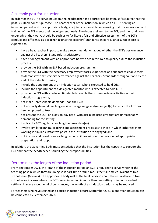# <span id="page-6-0"></span>A suitable post for induction

In order for the ECT to serve induction, the headteacher and appropriate body must first agree that the post is suitable for this purpose. The headteacher of the institution in which an ECT is serving an induction period, and the appropriate body, are jointly responsible for ensuring that the supervision and training of the ECT meets their development needs. The duties assigned to the ECT, and the conditions under which they work, should be such as to facilitate a fair and effective assessment of the ECT's conduct and efficiency as a teacher against the Teachers' Standards. In particular, a suitable post is expected to:

- have a headteacher in post to make a recommendation about whether the ECT's performance against the Teachers' Standards is satisfactory;
- have prior agreement with an appropriate body to act in this role to quality assure the induction process;
- provide the ECT with an ECF-based induction programme;
- provide the ECT with the necessary employment tasks, experience and support to enable them to demonstrate satisfactory performance against the Teachers' Standards throughout and by the end of the induction period;
- include the appointment of an induction tutor, who is expected to hold QTS;
- include the appointment of a designated mentor who is expected to hold QTS;
- provide the ECT with a reduced timetable to enable them to undertake activities in their induction programme;
- not make unreasonable demands upon the ECT;
- not normally demand teaching outside the age range and/or subject(s) for which the ECT has been employed to teach;
- not present the ECT, on a day-to-day basis, with discipline problems that are unreasonably demanding for the setting;
- involve the ECT regularly teaching the same class(es):
- involve similar planning, teaching and assessment processes to those in which other teachers working in similar substantive posts in the institution are engaged; and
- not involve additional non-teaching responsibilities without the provision of appropriate preparation and support.

In addition, the Governing Body must be satisfied that the institution has the capacity to support the ECT and that the headteacher is fulfilling their responsibilities.

# <span id="page-6-1"></span>Determining the length of the induction period

From September 2021, the length of the induction period an ECT is required to serve, whether the teaching post in which they are doing so is part-time or full-time, is the full-time equivalent of two school years (6 terms). The appropriate body makes the final decision about the equivalence to two school years in cases where the ECT serves induction in more than one setting or in non-standard settings. In some exceptional circumstances, the length of an induction period may be reduced.

For teachers who have started and paused induction before September 2021, a one year induction can be completed by September 2023.

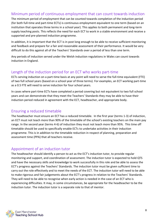## <span id="page-7-0"></span>Minimum period of continuous employment that can count towards induction

The minimum period of employment that can be counted towards completion of the induction period (for both full-time and part-time ECTs) is continuous employment equivalent to one term (based on an institution that operates three terms in a school year). This applies to both permanent and long-term supply teaching posts. This reflects the need for each ECT to work in a stable environment and receive a supported and pre-planned induction programme.

In addition, it is important that the ECT is in post long enough to be able to receive sufficient monitoring and feedback and prepare for a fair and reasonable assessment of their performance. It would be very difficult to do this against all of the Teachers' Standards over a period of less than one term.

Any periods of induction served under the Welsh induction regulations in Wales can count towards induction in England.

## <span id="page-7-1"></span>Length of the induction period for an ECT who works part-time

ECTs serving induction on a part-time basis at any point will need to serve the full-time equivalent (FTE) of two full school years (based on a school year of three terms). For examples, an ECT working part-time as a 0.5 FTE will need to serve induction for four school years.

In cases where part-time ECTs have completed a period covering but not equivalent to two full school years and can demonstrate that they meet the Teachers' Standards they may be able to have their induction period reduced in agreement with the ECT, headteacher, and appropriate body.

## <span id="page-7-2"></span>Ensuring a reduced timetable

The headteacher must ensure an ECT has a reduced timetable. In the first year (terms 1-3) of induction, an ECT must not teach more than 90% of the timetable of the school's existing teachers on the main pay range. In the second year (terms 4-6) of induction they must not teach more than 95%. This time off timetable should be used to specifically enable ECTs to undertake activities in their induction programme. This is in addition to the timetable reduction in respect of planning, preparation and assessment time (PPA) that all teachers receive.

## <span id="page-7-3"></span>Appointment of an induction tutor

The headteacher should identify a person to act as the ECT's induction tutor, to provide regular monitoring and support, and coordination of assessment. The induction tutor is expected to hold QTS and have the necessary skills and knowledge to work successfully in this role and be able to assess the ECT's progress against the Teachers' Standards. The induction tutor must be given sufficient time to carry out the role effectively and to meet the needs of the ECT. The induction tutor will need to be able to make rigorous and fair judgements about the ECT's progress in relation to the Teachers' Standards. They will need to be able to recognise when early action is needed in the case of an ECT who is experiencing difficulties. It may, in some circumstances, be appropriate for the headteacher to be the induction tutor. The induction tutor is a separate role to that of mentor.

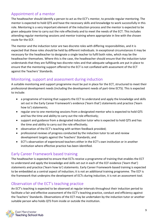# <span id="page-8-0"></span>Appointment of a mentor

The headteacher should identify a person to act as the ECT's mentor, to provide regular mentoring. The mentor is expected to hold QTS and have the necessary skills and knowledge to work successfully in this role. Mentoring is a very important element of the induction process and the mentor is expected to be given adequate time to carry out the role effectively and to meet the needs of the ECT. This includes attending regular mentoring sessions and mentor training where appropriate in line with the chosen route for the ECF.

The mentor and the induction tutor are two discrete roles with differing responsibilities, and it is expected that these roles should be held by different individuals. In exceptional circumstances it may be necessary for the headteacher to designate a single teacher to fulfil both roles, which may be the headteacher themselves. Where this is the case, the headteacher should ensure that the induction tutor understands that they are fulfilling two discrete roles and that adequate safeguards are put in place to ensure that the mentoring support offered to the ECT is not conflated with assessment of the ECT against the Teachers' Standards.

## <span id="page-8-1"></span>Monitoring, support and assessment during induction

A suitable monitoring and support programme must be put in place for the ECT, structured to meet their professional development needs (including the development needs of part-time ECTS). This is expected to include:

- a programme of training that supports the ECT to understand and apply the knowledge and skills set out in the Early Career Framework's evidence ('learn that') statements and practice ('learn how to') statements;
- regular one to one mentoring sessions from a designated mentor who is expected to hold QTS and has the time and ability to carry out the role effectively;
- support and guidance from a designated induction tutor who is expected to hold QTS and has the time and ability to carry out the role effectively;
- observation of the ECT's teaching with written feedback provided;
- professional reviews of progress conducted by the induction tutor to set and review development targets against the Teachers' Standards; and
- ECT's observation of experienced teachers either in the ECT's own institution or in another institution where effective practice has been identified.

# <span id="page-8-2"></span>Early Career Framework based training

The headteacher is expected to ensure that ECTs receive a programme of training that enables the ECT to understand and apply the knowledge and skills set out in each of the ECF evidence ('learn that') statements and practice ('learn how to') statements. Early Career Framework-based training is expected to be embedded as a central aspect of induction; it is not an additional training programme. The ECF is the framework that underpins the development of ECTs during induction, it is not an assessment tool.

# <span id="page-8-3"></span>Observation of the ECT's teaching practice

An ECT's teaching is expected to be observed at regular intervals throughout their induction period to facilitate a fair and effective assessment of the ECT's teaching practice, conduct and efficiency against the Teachers' Standards. Observations of the ECT may be undertaken by the induction tutor or another suitable person who holds QTS from inside or outside the institution.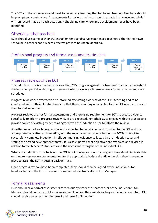The ECT and the observer should meet to review any teaching that has been observed. Feedback should be prompt and constructive. Arrangements for review meetings should be made in advance and a brief written record made on each occasion. It should indicate where any development needs have been identified.

## <span id="page-9-0"></span>Observing other teachers

ECTs should use some of their ECT induction time to observe experienced teachers either in their own school or in other schools where effective practice has been identified.

## <span id="page-9-1"></span>Professional progress and formal assessments: timeline



## <span id="page-9-2"></span>Progress reviews of the ECT

The induction tutor is expected to review the ECT's progress against the Teachers' Standards throughout the induction period, with progress reviews taking place in each term where a formal assessment is not scheduled.

Progress reviews are expected to be informed by existing evidence of the ECT's teaching and to be conducted with sufficient detail to ensure that there is nothing unexpected for the ECT when it comes to their formal assessment.

Progress reviews are not formal assessments and there is no requirement for ECTs to create evidence specifically to inform a progress review. ECTs are expected, nonetheless, to engage with the process and provide copies of existing evidence as agreed with the induction tutor to inform the review.

A written record of each progress review is expected to be retained and provided to the ECT and the appropriate body after each meeting, with the record clearly stating whether the ECT is on track to successfully complete induction, briefly summarising evidence collected by the induction tutor and stating the agreed development targets. It is also expected that objectives are reviewed and revised in relation to the Teachers' Standards and the needs and strengths of the individual ECT.

Where the induction tutor believes the ECT is not making satisfactory progress, they should indicate this on the progress review documentation for the appropriate body and outline the plan they have put in place to assist the ECT in getting back on track.

Once progress reviews have been completed, they should then be signed by the induction tutor, headteacher and the ECT. These will be submitted electronically on ECT Manager.

# <span id="page-9-3"></span>Formal assessments

ECTs should have formal assessments carried out by either the headteacher or the induction tutor. Mentors should not carry out formal assessments unless they are also acting as the induction tutor. ECTs should receive an assessment in term 3 and term 6 of induction.

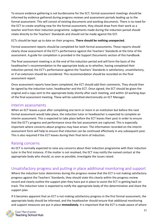To ensure evidence gathering is not burdensome for the ECT, formal assessment meetings should be informed by evidence gathered during progress reviews and assessment periods leading up to the formal assessment. This will consist of existing documents and working documents. There is no need for the ECT to create anything new for the formal assessment, they should draw from their work as a teacher and from their induction programme. Judgements made during the induction period should relate directly to the Teachers' Standards and should not be made against the ECF.

ECTs should be kept up to date on their progress. **There should be nothing unexpected.**

Formal assessment reports should be completed for both formal assessments. These reports should clearly show assessment of the ECT's performance against the Teachers' Standards at the time of the assessment. A guide for completion is provided in the Support Documents section of this handbook.

The final assessment meeting is at the end of the induction period and will form the basis of the headteacher's recommendation to the appropriate body as to whether, having completed their induction period, the ECT's performance against the Teachers' Standards is satisfactory, unsatisfactory, or if an extension should be considered. This recommendation should be recorded on the final assessment report.

Once assessment reports have been completed, the ECT should add their comments. They should then be signed by the induction tutor, headteacher and the ECT. Once signed, the ECT should be given the original and a copy sent to the appropriate body shortly after each meeting, and within 10 working days of the final assessment meeting. These will be submitted electronically on ECT Manager.

## <span id="page-10-0"></span>Interim assessments

When an ECT leaves a post after completing one term or more in an institution but before the next formal assessment would take place, the induction tutor or headteacher is expected to complete an interim assessment. This is expected to take place before the ECT leaves their post in order to ensure that the ECT's progress and performance since the last assessment are captured. This is especially important where concerns about progress may have arisen. The information recorded on the interim assessment form will help to ensure that induction can be continued effectively in any subsequent post. This is also required if the ECT leaves during their final term of induction.

## <span id="page-10-1"></span>Raising concerns

An ECT is normally expected to raise any concerns about their induction programme with their induction tutor in the first instance. If the matter is not resolved, the ECT may notify the named contact at the appropriate body who should, as soon as possible, investigate the issues raised.

# <span id="page-10-2"></span>Unsatisfactory progress and putting in place additional monitoring and support

Where the induction tutor determines during the progress review that the ECT is not making satisfactory progress against the Teachers' Standards, they should state this clearly within the progress review record and clearly outline the support plan they have put in place to assist the ECT in getting back on track. The induction tutor is expected to notify the appropriate body of this determination and share the support plan.

If it becomes apparent that an ECT is not making satisfactory progress in the first formal assessment, the appropriate body should be informed, and the headteacher should ensure that additional monitoring and support measures are put in place **immediately**. It is important that the ECT is made aware of where

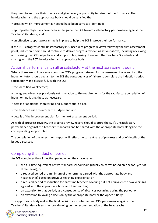they need to improve their practice and given every opportunity to raise their performance. The headteacher and the appropriate body should be satisfied that:

- areas in which improvement is needed have been correctly identified;
- appropriate objectives have been set to guide the ECT towards satisfactory performance against the Teachers' Standards; and
- an effective support programme is in place to help the ECT improve their performance.

If the ECT's progress is still unsatisfactory in subsequent progress reviews following the first assessment point, induction tutors should continue to deliver progress reviews as set out above, including reviewing and revising the ECT's objectives and support plan, linking these with the Teachers' Standards and sharing with the ECT, headteacher and appropriate body.

## <span id="page-11-0"></span>Action if performance is still unsatisfactory at the next assessment point

Where there are still concerns about the ECT's progress between formal assessment one and two the induction tutor should explain to the ECT the consequences of failure to complete the induction period satisfactorily and discuss fully with the ECT:

• the identified weaknesses;

• the agreed objectives previously set in relation to the requirements for the satisfactory completion of induction, updating these as necessary;

- details of additional monitoring and support put in place;
- the evidence used to inform the judgement; and
- details of the improvement plan for the next assessment period.

As with all progress reviews, the progress review record should capture the ECT's unsatisfactory performance against the Teachers' Standards and be shared with the appropriate body alongside the corresponding support plan.

The completion of the assessment report will reflect the current rate of progress and brief details of the issues discussed.

# <span id="page-11-1"></span>Completing the induction period

An ECT completes their induction period when they have served:

- the full-time equivalent of two standard school years (usually six terms based on a school year of three terms); or
- a reduced period of a minimum of one term (as agreed with the appropriate body and headteacher) based on previous teaching experience; or
- a reduced period of induction for part time teachers covering but not equivalent to two years (as agreed with the appropriate body and headteacher)
- an extension to that period, as a consequence of absences occurring during the period; or
- an extension following a decision by the appropriate body or the Appeals Body.

The appropriate body makes the final decision as to whether an ECT's performance against the Teachers' Standards is satisfactory, drawing on the recommendation of the headteacher.

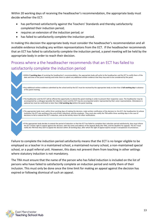Within 20 working days of receiving the headteacher's recommendation, the appropriate body must decide whether the ECT:

- has performed satisfactorily against the Teachers' Standards and thereby satisfactorily completed their induction period;
- requires an extension of the induction period; or
- has failed to satisfactorily complete the induction period.

In making this decision the appropriate body must consider the headteacher's recommendation and all available evidence including any written representations from the ECT. If the headteacher recommends that an ECT has failed to satisfactorily complete the induction period, a panel meeting will be held by the appropriate body in order to reach their decision.

# <span id="page-12-0"></span>Process where a the headteacher recommends that an ECT has failed to satisfactorily complete the induction period

| . Within 5 working days of receiving the headteacher's recommendation, the appropriate body will write to the headteacher and the ECT to notify them of the<br>date and time of the panel meeting and invite them to submit any additional written evidence that they may wish to be considered by the panel.                                                                                                                                                                                  |
|------------------------------------------------------------------------------------------------------------------------------------------------------------------------------------------------------------------------------------------------------------------------------------------------------------------------------------------------------------------------------------------------------------------------------------------------------------------------------------------------|
| • Any additional written evidence submitted by the school and by the ECT must be received by the appropriate body no later than 1 full working day in advance<br>of the panel meeting.                                                                                                                                                                                                                                                                                                         |
| . The headteacher and the ECT will be offered the opportunity to attend the panel meeting in order to present their respective cases. The headteacher may be<br>accompanied by a colleague (possibly the induction tutor) and the ECT may be accompanied and/or represented by their union representative. Attendance is<br>optional but must be confirmed no later than 1 full working day before the panel meeting.                                                                          |
| • The appropriate body must, within three working days of making the decision, make written notification of the decision to: the ECT; the headteacher (in whose<br>institution the ECT was working at the end of their induction); and the employer. They must also notify the TRA within three working days in the case of<br>decisions to fail or extend the ECT's induction, and via the termly return for other notifications.                                                             |
| • If the appropriate body decides to extend the period of induction or that the ECT has failed to complete their induction period satisfactorily, they must inform<br>the ECT of their right to appeal against this decision, with the name and address of the Appeals Body (the TRA), and the deadline for appeals. The ECT must<br>notify the TRA that they wish to appeal the decision within 20 working days, after which the right of appeal expires except in exceptional circumstances. |

Failure to complete the induction period satisfactorily means that the ECT is no longer eligible to be employed as a teacher in a maintained school, a maintained nursery school, a non-maintained special school, or a pupil referral unit. However, this does not prevent them from teaching in other settings where statutory induction is not mandatory.

<span id="page-12-1"></span>The TRA must ensure that the name of the person who has failed induction is included on the list of persons who have failed to satisfactorily complete an induction period and notify them of their inclusion. This must only be done once the time limit for making an appeal against the decision has expired or following dismissal of such an appeal.

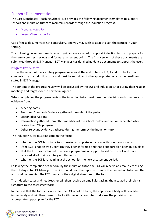## Support Documentation

The East Manchester Teaching School Hub provides the following document templates to support schools and induction tutors to maintain records through the induction progress.

- <span id="page-13-0"></span>• Meeting Notes Form
- <span id="page-13-1"></span>• Lesson Observation Form

Use of these documents is not compulsory, and you may wish to adapt to suit the context in your setting.

The following document templates and guidance are shared to support induction tutors to prepare for the termly progress reviews and formal assessment points. The final versions of these documents are submitted through ECT Manager. ECT Manager has detailed guidance documents to support the user.

## <span id="page-13-2"></span>Progress Review form

This is the record of the statutory progress reviews at the end of terms 1, 2, 4 and 5. The form is completed by the induction tutor and must be submitted to the appropriate body by the deadlines stated in ECT Manager.

The content of the progress review will be discussed by the ECT and induction tutor during their regular meetings and targets for the next term agreed.

When completing the progress review, the induction tutor must base their decision and comments on evidence from:

- Meeting notes
- Teachers' Standards Evidence gathered throughout the period
- Lesson observations
- Information gathered from other members of the school middle and senior leadership who review the ECTs progress
- Other relevant evidence gathered during the term by the induction tutor

The induction tutor must indicate on the form:

- whether the ECT is on track to successfully complete induction, with brief reasons why;
- if the ECT is not on track, confirm they been informed and that a support plan been put in place;
- that the ECT has continued to access a programme of support based on the ECF and have received all of their statutory entitlements;
- whether the ECT is remaining at the school for the next assessment period.

Following the completion of the form by the induction tutor, the ECT will receive an email alert asking them to log in to ECT Manager. The ECT should read the report written by their induction tutor and then add brief comments. The ECT then adds their digital signature to the form.

The induction tutor and headteacher will then receive an email alert asking them to add their digital signature to the assessment form.

In the case that the form indicates that the ECT is not on track, the appropriate body will be alerted immediately and will then make contact with the induction tutor to discuss the provision of an appropriate support plan for the ECT.

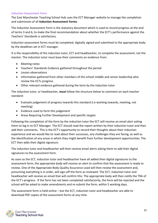### <span id="page-14-0"></span>Induction Assessment Form

The East Manchester Teaching School Hub uses the ECT Manager website to manage the completion and submission of all **Induction Assessment Forms**.

The Induction Assessment Form is the statutory document which is used to record progress at the end of terms 3 and 6, to make the final recommendation about whether the ECT's performance against the Teachers' Standards is satisfactory.

Induction assessment forms must be completed, digitally signed and submitted to the appropriate body by the deadlines set in ECT manager.

It is the responsibility of the induction tutor, ECT and headteacher, to complete the assessment; not the mentor. The induction tutor must base their comments on evidence from:

- Meeting notes
- Teachers' Standards Evidence gathered throughout the period
- Lesson observations
- Information gathered from other members of the school middle and senior leadership who review the ECTs progress
- Other relevant evidence gathered during the term by the induction tutor

The induction tutor, or headteacher, **must** follow the structure below to comment on each teacher standard:

- Evaluate judgement of progress towards this standard (i.e working towards, meeting, not meeting)
- Evidence used to form this judgement
- Areas Requiring Further Development and specific targets

Following the completion of the form by the induction tutor the ECT will receive an email alert asking them to log in to ECT Manager. The ECT should read the report written by their induction tutor and then add their comments. This is the ECT's opportunity to record their thoughts about their induction experience and we would like to read about their successes, any challenges they are facing, as well as the identification of any areas in which they might benefit from further development opportunities. The ECT then adds their digital signature.

The induction tutor and headteacher will then receive email alerts asking them to add their digital signatures to the assessment form.

As soon as the ECT, induction tutor and headteacher have all added their digital signatures to the assessment form, the appropriate body will receive an alert to confirm that the assessment is ready to review. One of the Appropriate Body Quality Assurance Lead will then review the assessment and, presuming everything is in order, will sign-off the form as reviewed. The ECT, induction tutor and headteacher will receive an email that will confirm this. The appropriate body will then notify the TRA of the ECT's progress. If the form has not been completed satisfactorily, the form will be rejected and the school will be asked to make amendments and re-submit the form, within 5 working days.

The assessment form is held online – but the ECT, induction tutor and headteacher are able to download PDF copies of the assessment forms at any time.

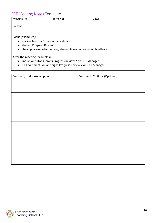# <span id="page-15-0"></span>ECT Meeting Notes Template

| Meeting No:                                                                   | Term No:                                                  | Date: |  |
|-------------------------------------------------------------------------------|-----------------------------------------------------------|-------|--|
| Present:                                                                      |                                                           |       |  |
|                                                                               |                                                           |       |  |
| Focus (examples):                                                             |                                                           |       |  |
| $\bullet$                                                                     | review Teachers' Standards Evidence                       |       |  |
| discuss Progress Review<br>$\bullet$                                          |                                                           |       |  |
| Arrange lesson observation / discuss lesson observation feedback<br>$\bullet$ |                                                           |       |  |
| After the meeting (examples):                                                 |                                                           |       |  |
| $\bullet$                                                                     | induction tutor submits Progress Review 2 on ECT Manager; |       |  |

• ECT comments on and signs Progress Review 2 on ECT Manager

| Summary of discussion point | Comments/Actions (Optional) |
|-----------------------------|-----------------------------|
|                             |                             |
|                             |                             |
|                             |                             |
|                             |                             |
|                             |                             |
|                             |                             |
|                             |                             |
|                             |                             |
|                             |                             |
|                             |                             |
|                             |                             |
|                             |                             |
|                             |                             |
|                             |                             |
|                             |                             |
|                             |                             |
|                             |                             |
|                             |                             |

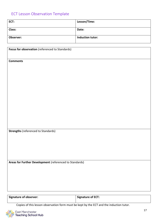# <span id="page-16-0"></span>ECT Lesson Observation Template

| ECT:      | Lesson/Time:     |
|-----------|------------------|
| Class:    | Date:            |
| Observer: | Induction tutor: |

| Focus for observation (referenced to Standards)         |
|---------------------------------------------------------|
|                                                         |
|                                                         |
| <b>Comments</b>                                         |
|                                                         |
|                                                         |
|                                                         |
|                                                         |
|                                                         |
|                                                         |
|                                                         |
|                                                         |
|                                                         |
|                                                         |
|                                                         |
|                                                         |
|                                                         |
|                                                         |
|                                                         |
|                                                         |
|                                                         |
|                                                         |
|                                                         |
|                                                         |
| <b>Strengths (referenced to Standards)</b>              |
|                                                         |
|                                                         |
|                                                         |
|                                                         |
|                                                         |
|                                                         |
|                                                         |
|                                                         |
| Areas for Further Development (referenced to Standards) |
|                                                         |
|                                                         |
|                                                         |
|                                                         |
|                                                         |
|                                                         |
|                                                         |
|                                                         |
|                                                         |

| Signature of observer: | <b>Signature of ECT:</b> |
|------------------------|--------------------------|
|                        |                          |

Copies of this lesson observation form must be kept by the ECT and the induction tutor.

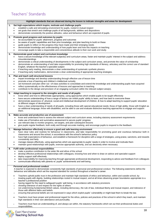<span id="page-17-0"></span>

|    | Highlight standards that are observed during the lesson to indicate strengths and areas for development                                                                                                                                                                                                                                                                                                                                                                                                                                                                                                                                                                                                                                                                                                                                                                                                                                                                                                                                                                                                                                                                                                                                                                                                                                                                                                                                                                                          |
|----|--------------------------------------------------------------------------------------------------------------------------------------------------------------------------------------------------------------------------------------------------------------------------------------------------------------------------------------------------------------------------------------------------------------------------------------------------------------------------------------------------------------------------------------------------------------------------------------------------------------------------------------------------------------------------------------------------------------------------------------------------------------------------------------------------------------------------------------------------------------------------------------------------------------------------------------------------------------------------------------------------------------------------------------------------------------------------------------------------------------------------------------------------------------------------------------------------------------------------------------------------------------------------------------------------------------------------------------------------------------------------------------------------------------------------------------------------------------------------------------------------|
| 1. | Set high expectations which inspire, motivate and challenge pupils<br>establish a safe and stimulating environment for pupils, rooted in mutual respect<br>$\bullet$<br>set goals that stretch and challenge pupils of all backgrounds, abilities and dispositions<br>$\bullet$<br>demonstrate consistently the positive attitudes, value and behaviour which are expected of pupils.                                                                                                                                                                                                                                                                                                                                                                                                                                                                                                                                                                                                                                                                                                                                                                                                                                                                                                                                                                                                                                                                                                            |
| 2. | Promote good progress and outcomes by pupils<br>be accountable for pupils' attainment, progress and outcomes<br>be aware of pupils' capabilities and their prior knowledge, and plan teaching to build on these<br>$\bullet$<br>guide pupils to reflect on the progress they have made and their emerging needs<br>$\bullet$<br>demonstrate knowledge and understanding of how pupils learn and how this impacts on teaching<br>$\bullet$<br>encourage pupils to take a responsible and conscientious attitude to their own work and study.<br>$\bullet$                                                                                                                                                                                                                                                                                                                                                                                                                                                                                                                                                                                                                                                                                                                                                                                                                                                                                                                                         |
| 3. | Demonstrate good subject and curriculum knowledge<br>have a secure knowledge of the relevant subject(s) and curriculum areas, foster and maintain pupils' interest in the subject and address<br>$\bullet$<br>misunderstandings<br>demonstrate a critical understanding of developments in the subject and curriculum areas, and promote the value of scholarship<br>$\bullet$<br>demonstrate an understanding of and take responsibility for promoting high standards of literacy, articulacy and the correct use of standard<br>٠<br>English, whatever the teacher's specialist subject<br>if teaching early reading, demonstrate a clear understanding of systematic synthetic phonics<br>$\bullet$<br>if teaching early mathematics, demonstrate a clear understanding of appropriate teaching strategies.<br>٠                                                                                                                                                                                                                                                                                                                                                                                                                                                                                                                                                                                                                                                                              |
| 4. | Plan and teach well-structured lessons<br>impart knowledge and develop understanding through effective use of lesson time<br>$\bullet$<br>promote a love of learning and children's intellectual curiosity<br>$\bullet$<br>set homework and plan other out -of-class activities to consolidate and extend the knowledge and understanding pupils have acquired<br>٠<br>reflect systematically on the effectiveness of lessons and approaches to teaching<br>$\bullet$<br>contribute to the design and provision of an engaging curriculum within the relevant subject area(s).<br>٠                                                                                                                                                                                                                                                                                                                                                                                                                                                                                                                                                                                                                                                                                                                                                                                                                                                                                                              |
| 5. | Adapt teaching to respond to the strengths and needs of all pupils<br>know when and how to differentiate appropriately, using approaches which enable pupils to be taught effectively<br>$\bullet$<br>have secure understanding of how a range of factors can inhibit pupils' ability to learn, and how best to overcome these<br>$\bullet$<br>demonstrate awareness of physical, social and intellectual development of children, & how to adapt teaching to support pupils' education<br>٠<br>at different stages of development<br>have a clear understanding of needs of all pupils, including those with special educational needs; those of high ability; those with English as<br>an additional language; those with disabilities; and be able to use and evaluate distinctive teaching approaches to engage and support<br>them.                                                                                                                                                                                                                                                                                                                                                                                                                                                                                                                                                                                                                                                         |
| 6. | Make accurate and productive use of assessment<br>know and understand how to assess the relevant subject and curriculum areas, including statutory assessment requirements<br>٠<br>make use of formative and summative assessment to secure pupils' progress<br>٠<br>use relevant data to monitor progress, set targets, and plan subsequent lessons<br>give pupils regular feedback, both orally and through accurate marking, and encourage pupils to respond to the feedback.                                                                                                                                                                                                                                                                                                                                                                                                                                                                                                                                                                                                                                                                                                                                                                                                                                                                                                                                                                                                                 |
| 7. | Manage behaviour effectively to ensure a good and safe learning environment<br>have clear rules and routines for behaviour in classrooms, and take responsibility for promoting good and courteous behaviour both in<br>$\bullet$<br>classrooms and around the school, in accordance with the school's behaviour policy<br>have high expectations of behaviour, and establish a framework for discipline with a range of strategies, using praise, sanctions, and rewards<br>consistently and fairly<br>manage classes effectively, using approaches which are appropriate to pupils' needs in order to involve and motivate them<br>$\bullet$<br>maintain good relationships with pupils, exercise appropriate authority, and act decisively when necessary.                                                                                                                                                                                                                                                                                                                                                                                                                                                                                                                                                                                                                                                                                                                                    |
| 8. | Fulfil wider professional responsibilities<br>make a positive contribution to the wider life and ethos of the school<br>$\bullet$<br>develop effective professional relationships with colleagues, knowing how and when to draw on advice and specialist support<br>deploy support staff effectively<br>take responsibility for improving teaching through appropriate professional development, responding to advice and feedback from colleagues<br>communicate effectively with parents re: pupils' achievements and well-being.<br>Personal and professional conduct                                                                                                                                                                                                                                                                                                                                                                                                                                                                                                                                                                                                                                                                                                                                                                                                                                                                                                                         |
|    | A teacher is expected to demonstrate consistently high standards of personal and professional conduct. The following statements define the<br>behaviour and attitudes which set the required standard for conduct throughout a teacher's career.<br>Teachers uphold public trust in the profession and maintain high standards of ethics and behaviour, within and outside school, by:<br>٠<br>treating pupils with dignity, building relationships rooted in mutual respect, and at all times observing proper boundaries appropriate to a<br>$\circ$<br>teacher's professional position<br>having regard for the need to safeguard pupils' well-being, in accordance with statutory provisions<br>$\circ$<br>showing tolerance of and respect for the rights of others<br>$\circ$<br>not undermining fundamental British values, including democracy, the rule of law, individual liberty and mutual respect, and tolerance of<br>$\circ$<br>those with different faiths and beliefs<br>ensuring that personal beliefs are not expressed in ways which exploit pupils' vulnerability or might lead them to break the law.<br>$\circ$<br>Teachers must have proper and professional regard for the ethos, policies and practices of the school in which they teach, and maintain<br>$\bullet$<br>high standards in their own attendance and punctuality.<br>Teachers must have an understanding of, and always act within, the statutory frameworks which set out their professional duties and |
|    | responsibilities.<br>18                                                                                                                                                                                                                                                                                                                                                                                                                                                                                                                                                                                                                                                                                                                                                                                                                                                                                                                                                                                                                                                                                                                                                                                                                                                                                                                                                                                                                                                                          |

# East Manchester<br>**Teaching School Hub**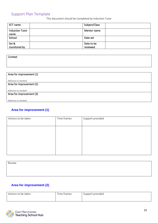# <span id="page-18-0"></span>Support Plan Template

This document should be completed by Induction Tutor

| ECT name               | Subject/Class |
|------------------------|---------------|
| <b>Induction Tutor</b> | Mentor name   |
| name                   |               |
| School                 | Date set      |
| Set &                  | Date to be    |
| monitored by           | reviewed      |

Context

| Area for improvement (1) |
|--------------------------|
| Reference to standard    |
| Area for improvement (2) |
|                          |
| Reference to standard    |
| Area for improvement (3) |
|                          |
| Reference to standard    |

## **Area for improvement (1)**

| Actions to be taken | Time frames | Support provided |
|---------------------|-------------|------------------|
|                     |             |                  |
|                     |             |                  |
|                     |             |                  |
|                     |             |                  |

Review

## **Area for improvement (2)**

| Actions to be taken | Time frames | Support provided |
|---------------------|-------------|------------------|
|                     |             |                  |

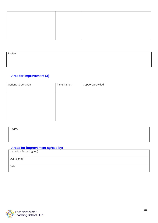Review

# **Area for improvement (3)**

| Actions to be taken | Time frames | Support provided |
|---------------------|-------------|------------------|
|                     |             |                  |
|                     |             |                  |
|                     |             |                  |

Review

## **Areas for improvement agreed by:**

Induction Tutor (signed)

ECT (signed)

Date

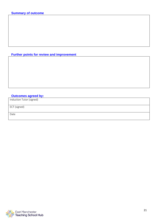## **Further points for review and improvement**

## **Outcomes agreed by:**

Induction Tutor (signed)

ECT (signed)

Date

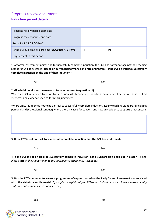## Progress review document **Induction period details**

| Progress review period start date                       |          |
|---------------------------------------------------------|----------|
| Progress review period end date                         |          |
| Term 1 / 2 / 4 / 5 / Other?                             |          |
| Is the ECT full-time or part-time? (Give the FTE if PT) | FT<br>РT |
| Days absent in this period                              |          |

1. At formal assessment points and to successfully complete induction, the ECT's performance against the Teaching Standards will be assessed. **Based on current performance and rate of progress, is the ECT on track to successfully complete induction by the end of their induction?**

**The Second Second Second Second Second Second Second Second Second Second Second Second Second Second Second S** 

### **2. Give brief details for the reason(s) for your answer to question (1).**

Where an ECT is deemed to be on track to successfully complete induction, provide brief details of the identified strengths and evidence used to form this judgement.

Where an ECT is deemed not to be on track to successfully complete induction, list any teaching standards (including personal and professional conduct) where there is cause for concern and how any evidence supports that concern.

## 3. **If the ECT is not on track to successfully complete induction, has the ECT been informed?**

**The Second Second Second Second Second Second Second Second Second Second Second Second Second Second Second S** 

4. **If the ECT is not on track to successfully complete induction, has a support plan been put in place?** *(If yes, please attach the support plan to the documents section of ECT Manager)*

**The Second Second Second Second Second Second Second Second Second Second Second Second Second Second Second S** 

5. **Has the ECT continued to access a programme of support based on the Early Career Framework and received all of the statutory entitlements?** *(If no, please explain why an ECF-based induction has not been accessed or why statutory entitlements have not been met)*

**The Second Second Second Second Second Second Second Second Second Second Second Second Second Second Second S**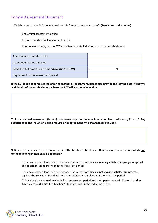# <span id="page-22-0"></span>Formal Assessment Document

### **1.** Which period of the ECT's induction does this formal assessment cover? **(Select one of the below)**

End of first assessment period

End of second or final assessment period

Interim assessment, i.e. the ECT is due to complete induction at another establishment

| Assessment period start date                            |     |    |
|---------------------------------------------------------|-----|----|
| Assessment period end date                              |     |    |
| Is the ECT full-time or part-time? (Give the FTE if PT) | FT. | PT |
| Days absent in this assessment period                   |     |    |

**If the ECT is due to complete induction at another establishment, please also provide the leaving date (if known) and details of the establishment where the ECT will continue induction.**

**2.** If this is a final assessment (term 6), how many days has the induction period been reduced by (if any)? **Any reductions to the induction period require prior agreement with the Appropriate Body.**

**3.** Based on the teacher's performance against the Teachers' Standards within the assessment period**, which one of the following statements is applicable?**

The above named teacher's performance indicates that **they are making satisfactory progress** against the Teachers' Standards within the induction period

The above named teacher's performance indicates that **they are not making satisfactory progress** against the Teachers' Standards for the satisfactory completion of the induction period

This is the above named teacher's final assessment period **and** their performance indicates that **they have successfully met** the Teachers' Standards within the induction period

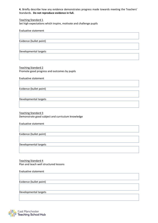**4.** Briefly describe how any evidence demonstrates progress made towards meeting the Teachers' Standards. **Do not reproduce evidence in full.** 

### Teaching Standard 1

Set high expectations which inspire, motivate and challenge pupils

| <b>Evaluative statement</b> |  |
|-----------------------------|--|
|                             |  |
| Evidence (bullet point)     |  |
|                             |  |
|                             |  |
| Developmental targets       |  |
|                             |  |
|                             |  |

Teaching Standard 2 Promote good progress and outcomes by pupils

Evaluative statement

Evidence (bullet point)

Developmental targets

Teaching Standard 3 Demonstrate good subject and curriculum knowledge

| Evaluative statement    |  |  |
|-------------------------|--|--|
|                         |  |  |
|                         |  |  |
| Evidence (bullet point) |  |  |
|                         |  |  |
|                         |  |  |
| Developmental targets   |  |  |
|                         |  |  |
|                         |  |  |

Teaching Standard 4 Plan and teach well structured lessons

| Evaluative statement    |  |  |
|-------------------------|--|--|
|                         |  |  |
|                         |  |  |
| Evidence (bullet point) |  |  |
|                         |  |  |
|                         |  |  |
|                         |  |  |
| Developmental targets   |  |  |
|                         |  |  |
|                         |  |  |

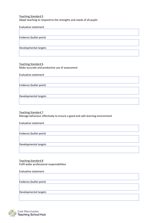### Teaching Standard 5 Adapt teaching to respond to the strengths and needs of all pupils

### Evaluative statement

Evidence (bullet point)

Developmental targets

## Teaching Standard 6

Make accurate and productive use of assessment

|  | <b>Evaluative statement</b> |
|--|-----------------------------|
|--|-----------------------------|

Evidence (bullet point)

Developmental targets

## Teaching Standard 7 Manage behaviour effectively to ensure a good and safe learning environment

| Evaluative statement    |  |  |
|-------------------------|--|--|
|                         |  |  |
| Evidence (bullet point) |  |  |
|                         |  |  |
|                         |  |  |
| Developmental targets   |  |  |
|                         |  |  |

### Teaching Standard 8 Fulfil wider professional responsibilities

| <b>Evaluative statement</b> |  |  |  |
|-----------------------------|--|--|--|
|                             |  |  |  |
| Evidence (bullet point)     |  |  |  |
|                             |  |  |  |
| Developmental targets       |  |  |  |
|                             |  |  |  |

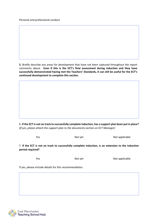**5.** Briefly describe any areas for development that have not been captured throughout the report comments above. **Even if this is the ECT's final assessment during induction and they have successfully demonstrated having met the Teachers' Standards, it can still be useful for the ECT's continued development to complete this section.**

6. **If the ECT is not on track to successfully complete induction, has a support plan been put in place?** *(If yes, please attach the support plan to the documents section on ECT Manager)*

Yes Not yet Not yet Not applicable

7. **If the ECT is not on track to successfully complete induction, is an extension to the induction period required?**

Yes Not yet Not vet Not applicable

If yes, please include details for this recommendation.

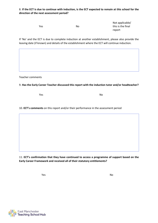### 8. **If the ECT is due to continue with induction, is the ECT expected to remain at this school for the direction of the next assessment period?**

Yes No Not applicable/ this is the final report

If 'No' and the ECT is due to complete induction at another establishment, please also provide the leaving date (if known) and details of the establishment where the ECT will continue induction.

Teacher comments

9. **Has the Early Career Teacher discussed this report with the induction tutor and/or headteacher?**

**The Second Second Second Second Second Second Second Second Second Second Second Second Second Second Second S** 

10. **ECT's comments** on this report and/or their performance in the assessment period

11. **ECT's confirmation that they have continued to access a programme of support based on the Early Career Framework and received all of their statutory entitlements?**

**The Second Second Second Second Second Second Second Second Second Second Second Second Second Second Second S** 

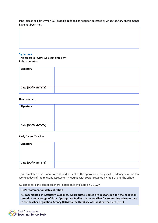If no, please explain why an ECF-based induction has not been accessed or what statutory entitlements have not been met

### **Signatures**

This progress review was completed by: **Induction tutor.** 

| Signature         |  |
|-------------------|--|
|                   |  |
|                   |  |
|                   |  |
| Date (DD/MM/YYYY) |  |
|                   |  |

### **Headteacher.**

| Signature         |  |
|-------------------|--|
|                   |  |
|                   |  |
|                   |  |
| Date (DD/MM/YYYY) |  |
|                   |  |

#### **Early Career Teacher.**

| Signature         |  |
|-------------------|--|
|                   |  |
|                   |  |
|                   |  |
| Date (DD/MM/YYYY) |  |

This completed assessment form should be sent to the appropriate body via ECT Manager within ten working days of the relevant assessment meeting, with copies retained by the ECT and the school.

Guidance for early career teachers' induction is available on GOV.UK

### **GDPR statement on data collection**

**As documented in Statutory Guidance, Appropriate Bodies are responsible for the collection, retention and storage of data. Appropriate Bodies are responsible for submitting relevant data to the Teacher Regulation Agency (TRA) via the Database of Qualified Teachers (DQT).**

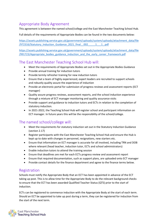## Appropriate Body Agreement

This agreement is between the named school/college and the East Manchester Teaching School Hub.

Full details of the requirements of Appropriate Bodies can be found in the two documents below:

[https://assets.publishing.service.gov.uk/government/uploads/system/uploads/attachment\\_data/file](https://assets.publishing.service.gov.uk/government/uploads/system/uploads/attachment_data/file/972316/Statutory_Induction_Guidance_2021_final__002_____1___1_.pdf) /972316/Statutory Induction Guidance 2021 final 002 1 1 .pdf

[https://assets.publishing.service.gov.uk/government/uploads/system/uploads/attachment\\_data/file](https://assets.publishing.service.gov.uk/government/uploads/system/uploads/attachment_data/file/991723/Appropriate_bodies_guidance_induction_and_the_early_career_framework.pdf) [/991723/Appropriate\\_bodies\\_guidance\\_induction\\_and\\_the\\_early\\_career\\_framework.pdf](https://assets.publishing.service.gov.uk/government/uploads/system/uploads/attachment_data/file/991723/Appropriate_bodies_guidance_induction_and_the_early_career_framework.pdf) 

## The East Manchester Teaching School Hub will:

- Meet the requirements of Appropriate Bodies set out in the Appropriate Bodies Guidance
- Provide annual training for induction tutors
- Provide termly refresher training for new induction tutors
- Ensure that a team of highly experienced, expert leaders are recruited to support schools and robustly quality assure the experience of induction
- Provide an electronic portal for submission of progress reviews and assessment reports (ECT manager)
- Quality assure progress reviews, assessment reports, and the school induction experience through a mixture of ECT manager monitoring and quality assurance visits
- Provide support and guidance to induction tutors and ECTs in relation to the completion of statutory induction.
- In 2021-2022, the Teaching School Hub will register school and participant information on ECT manager. In future years this will be the responsibility of the school/college.

# The named school/college will:

- Meet the requirements for statutory induction set out in the Statutory Induction Guidance (section 2.17)
- Register participants with the East Manchester Teaching School Hub and ensure the Hub is kept up to date with changes in personnel, resignations, new starters etc.
- Ensure that information on ECT manager is accurate for all involved, including TRN and DOB where relevant (head teacher, induction tutor, ECTs and school administrators)
- Enable induction tutors to attend the training session
- Ensure that deadlines are met for each ECTs progress review and assessment report
- Ensure that required documentation, such as support plans, are uploaded onto ECT manager
- Provide contact details for the finance department and agree to the finance terms below.

## Registration

Schools must notify the Appropriate Body that an ECT has been appointed in advance of the ECT taking up post. This is to allow time for the Appropriate Body to do the relevant background checks to ensure that the ECT has been awarded Qualified Teacher Status (QTS) prior to the start of induction.

ECTs can be registered to commence induction with the Appropriate Body at the start of each term. Should an ECT be appointed to take up post during a term, they can be registered for induction from the start of the next term.

East Manchester **Teaching School Hub**